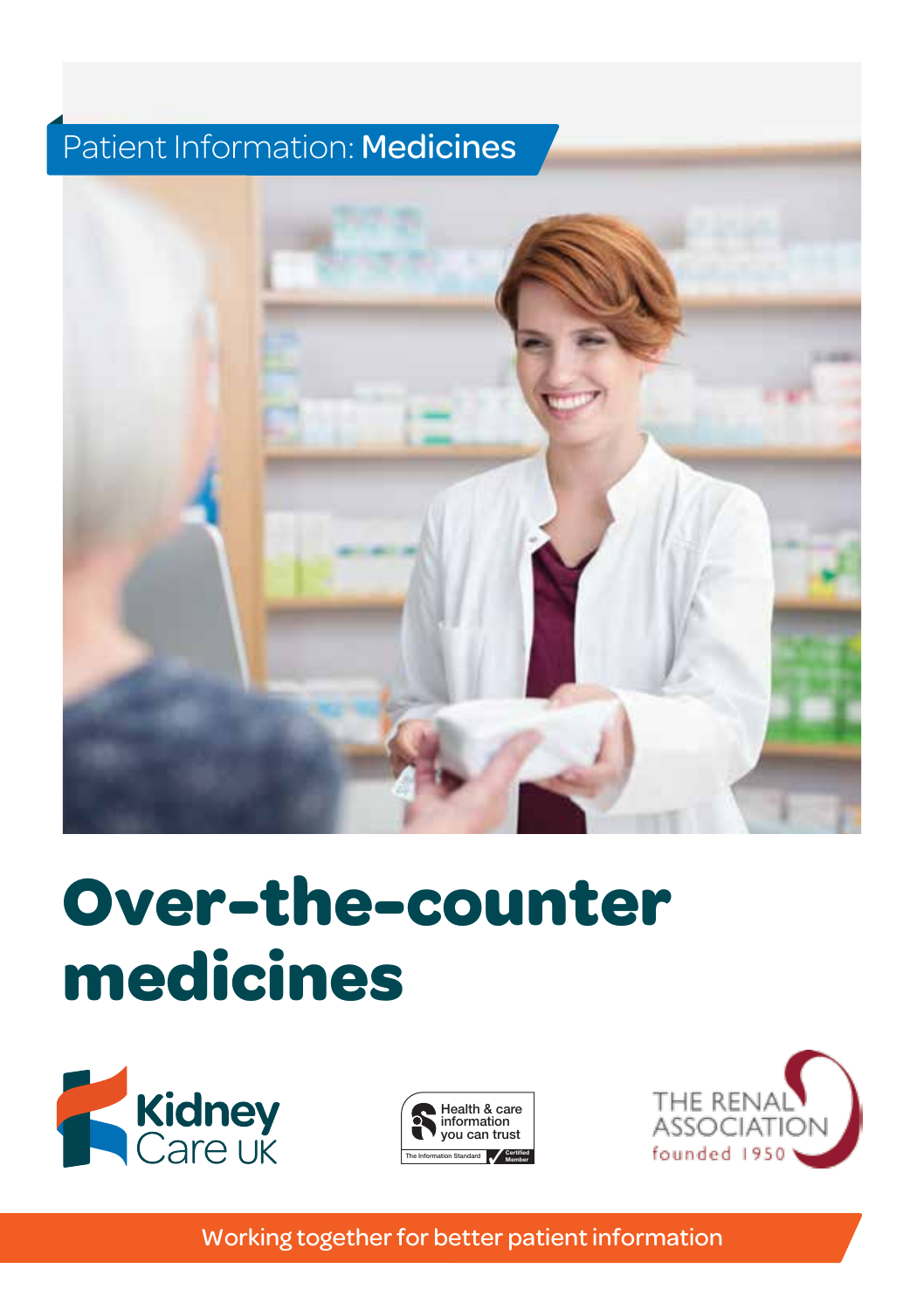# Patient Information: Medicines



# Over-the-counter **medicines**







Working together for better patient information use the logos shown above.

 $\mathcal{H}(\mathcal{A})$  is a careful  $\mathcal{H}(\mathcal{A})$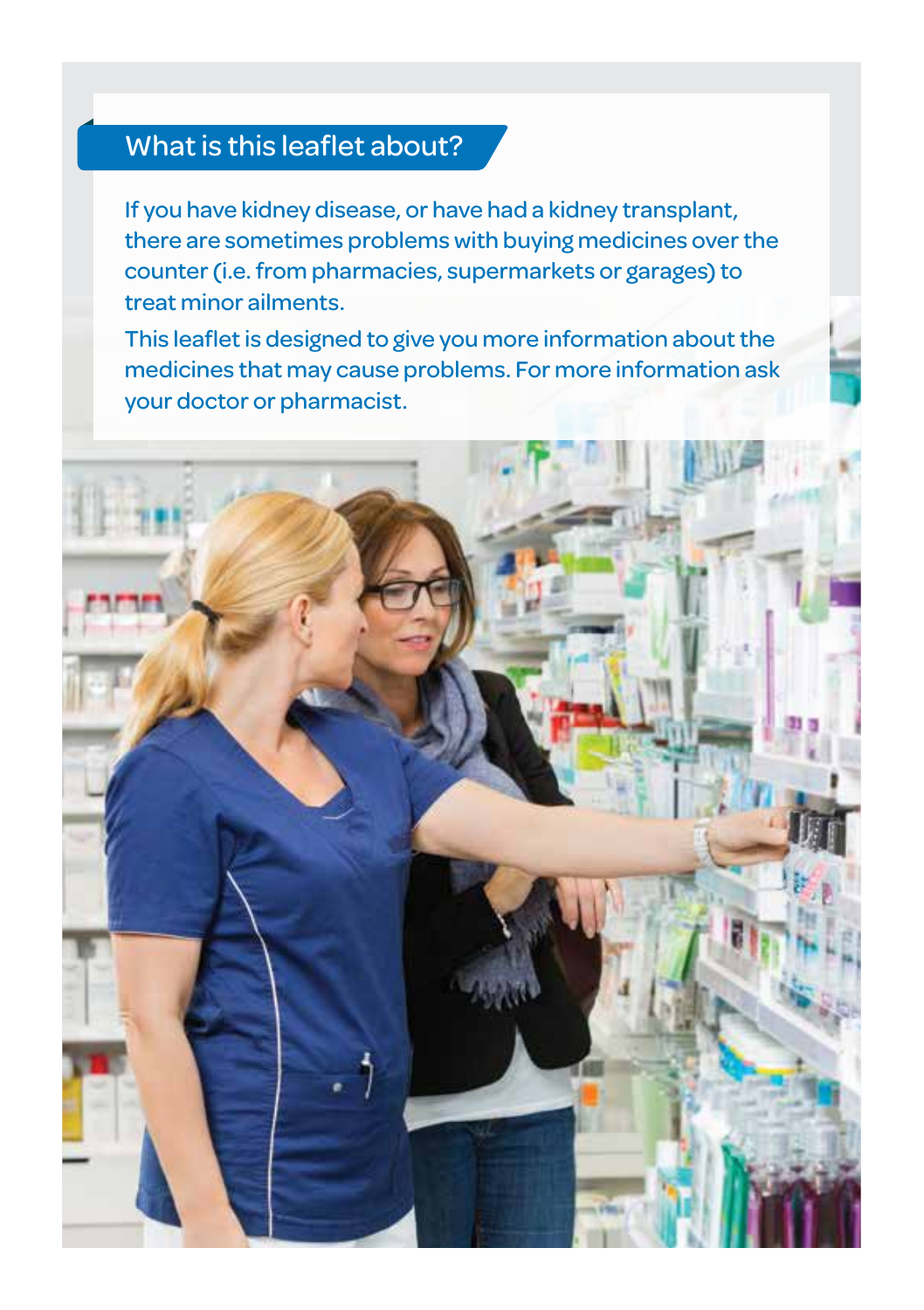#### What is this leaflet about?

If you have kidney disease, or have had a kidney transplant, there are sometimes problems with buying medicines over the counter (i.e. from pharmacies, supermarkets or garages) to treat minor ailments.

This leaflet is designed to give you more information about the medicines that may cause problems. For more information ask your doctor or pharmacist.

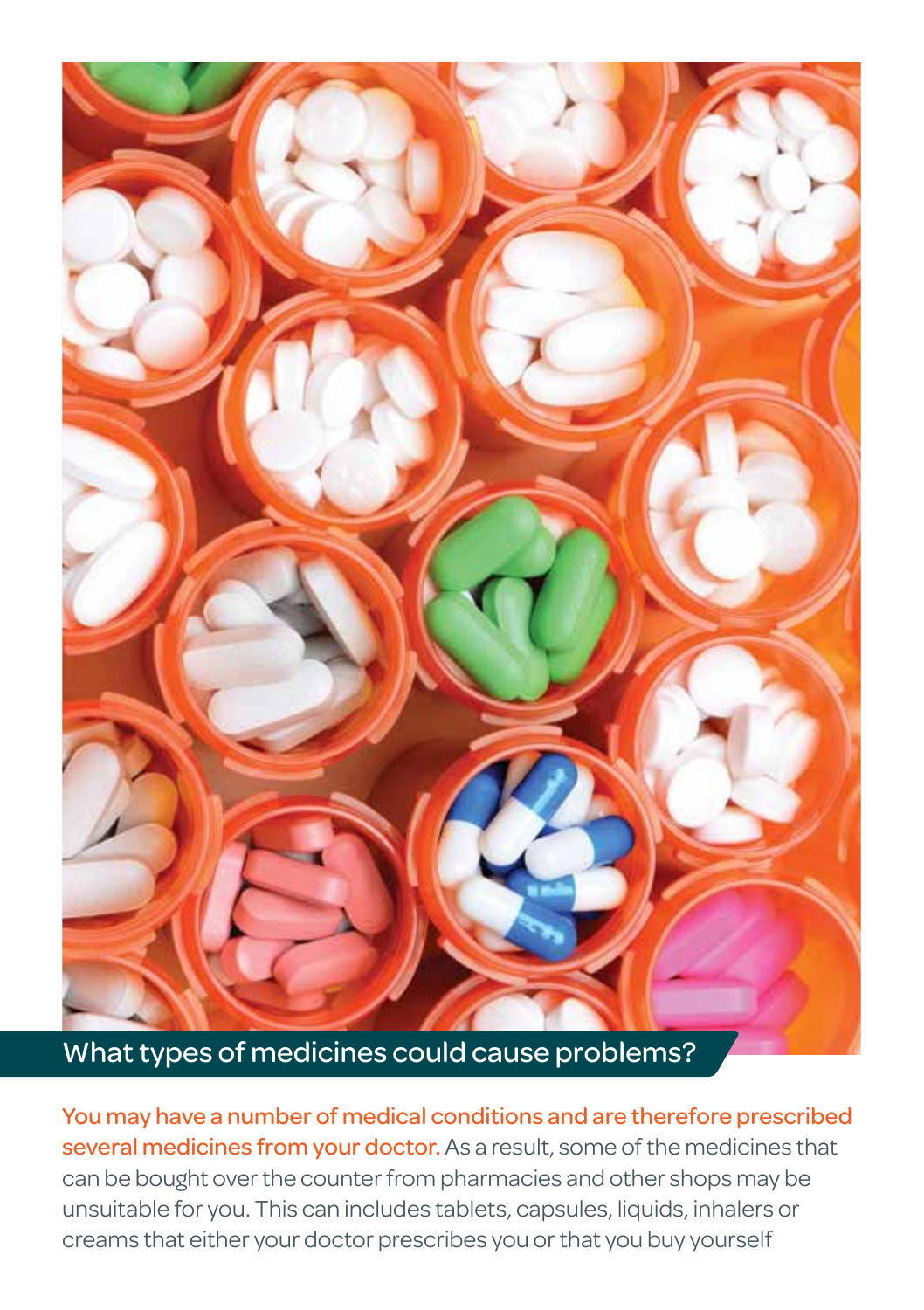

#### What types of medicines could cause problems?

You may have a number of medical conditions and are therefore prescribed several medicines from your doctor. As a result, some of the medicines that can be bought over the counter from pharmacies and other shops may be unsuitable for you. This can includes tablets, capsules, liquids, inhalers or creams that either your doctor prescribes you or that you buy yourself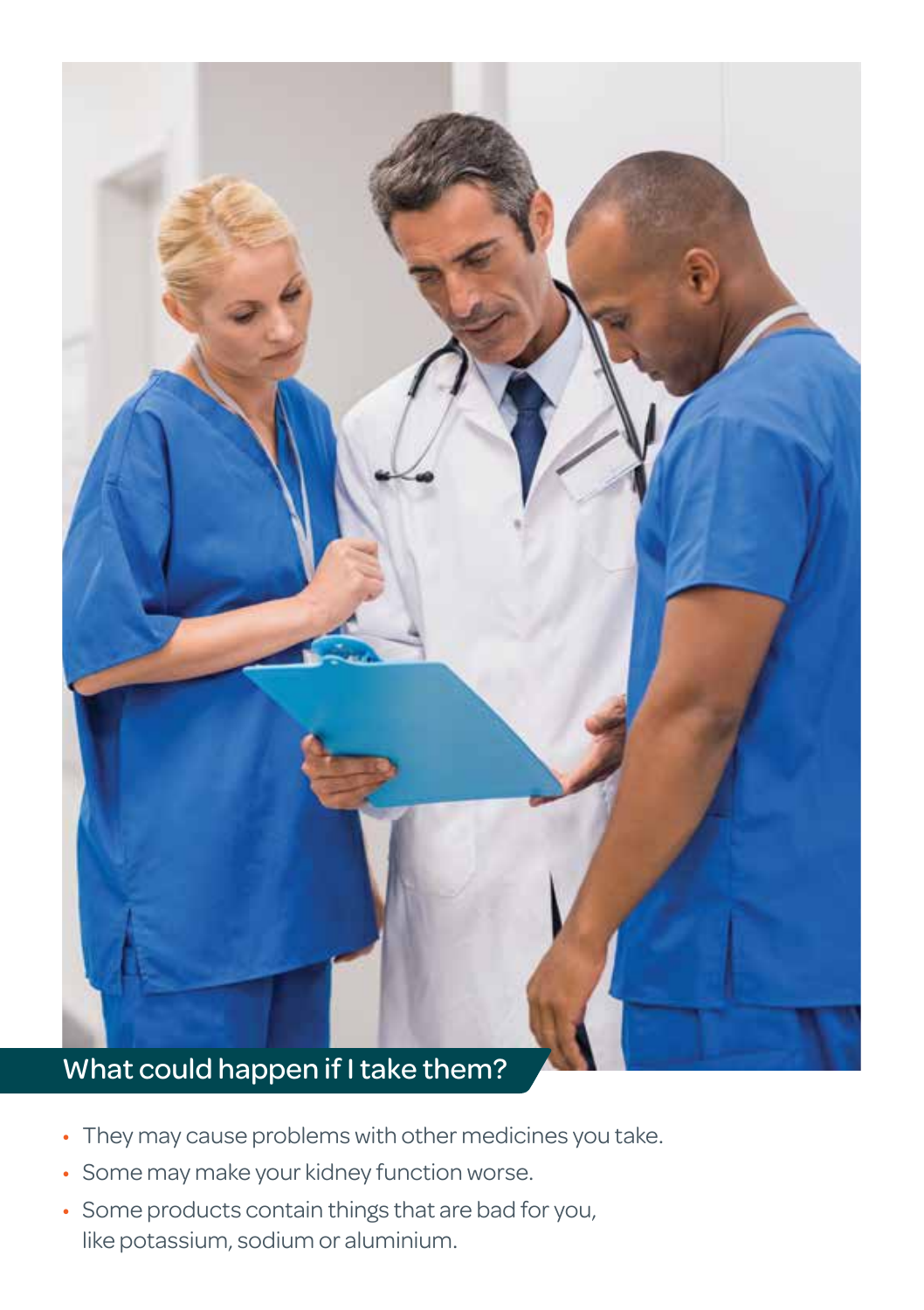

# • They may cause problems with other medicines you take.

- Some may make your kidney function worse.
- Some products contain things that are bad for you, like potassium, sodium or aluminium.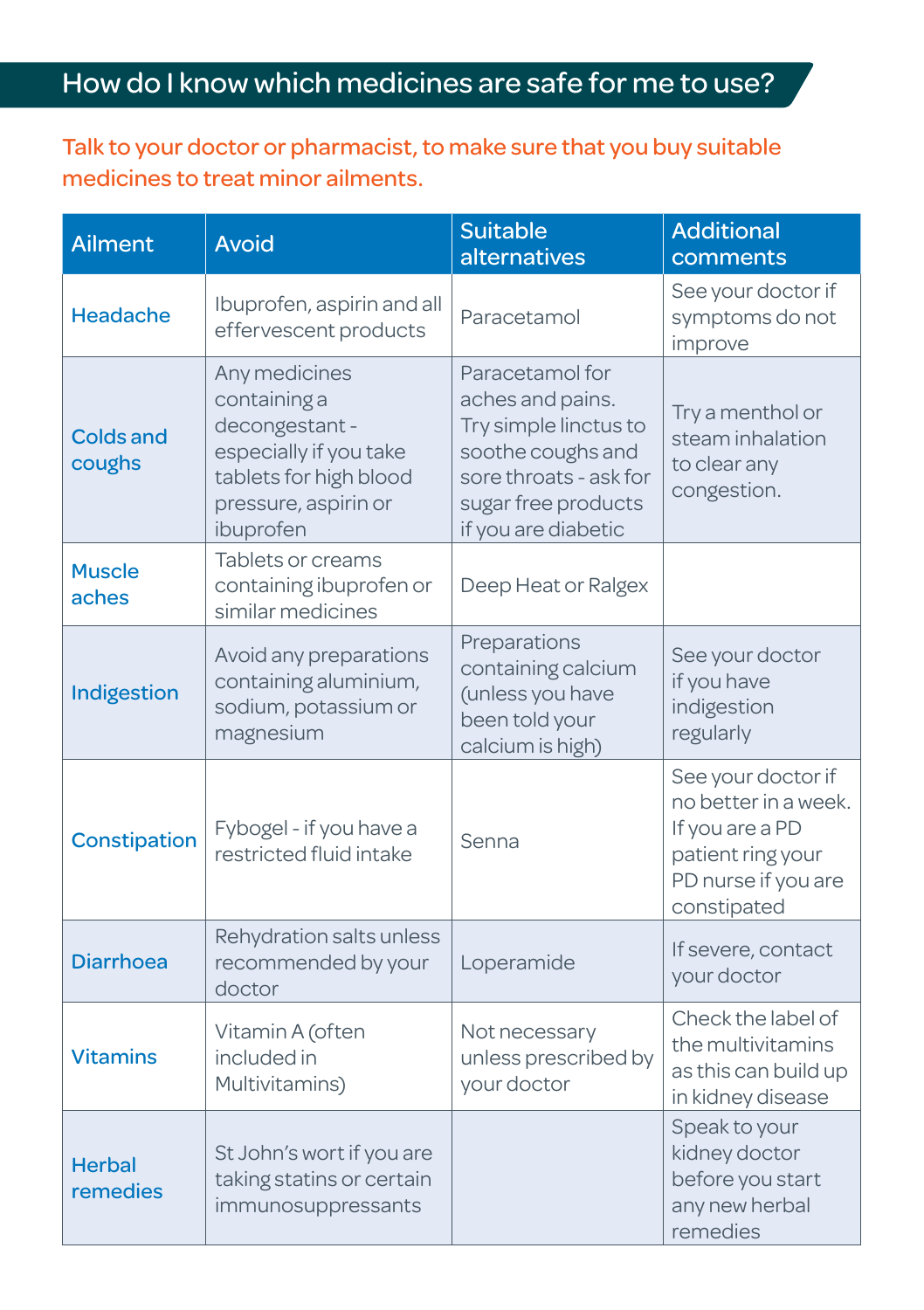## How do I know which medicines are safe for me to use?

Talk to your doctor or pharmacist, to make sure that you buy suitable medicines to treat minor ailments.

| <b>Ailment</b>             | <b>Avoid</b>                                                                                                                            | <b>Suitable</b><br>alternatives                                                                                                                           | <b>Additional</b><br>comments                                                                                            |
|----------------------------|-----------------------------------------------------------------------------------------------------------------------------------------|-----------------------------------------------------------------------------------------------------------------------------------------------------------|--------------------------------------------------------------------------------------------------------------------------|
| Headache                   | Ibuprofen, aspirin and all<br>effervescent products                                                                                     | Paracetamol                                                                                                                                               | See your doctor if<br>symptoms do not<br>improve                                                                         |
| <b>Colds and</b><br>coughs | Any medicines<br>containing a<br>decongestant-<br>especially if you take<br>tablets for high blood<br>pressure, aspirin or<br>ibuprofen | Paracetamol for<br>aches and pains.<br>Try simple linctus to<br>soothe coughs and<br>sore throats - ask for<br>sugar free products<br>if you are diabetic | Try a menthol or<br>steam inhalation<br>to clear any<br>congestion.                                                      |
| <b>Muscle</b><br>aches     | Tablets or creams<br>containing ibuprofen or<br>similar medicines                                                                       | Deep Heat or Ralgex                                                                                                                                       |                                                                                                                          |
| Indigestion                | Avoid any preparations<br>containing aluminium,<br>sodium, potassium or<br>magnesium                                                    | Preparations<br>containing calcium<br>(unless you have<br>been told your<br>calcium is high)                                                              | See your doctor<br>if you have<br>indigestion<br>regularly                                                               |
| Constipation               | Fybogel - if you have a<br>restricted fluid intake                                                                                      | Senna                                                                                                                                                     | See your doctor if<br>no better in a week.<br>If you are a PD<br>patient ring your<br>PD nurse if you are<br>constipated |
| <b>Diarrhoea</b>           | Rehydration salts unless<br>recommended by your<br>doctor                                                                               | Loperamide                                                                                                                                                | If severe, contact<br>your doctor                                                                                        |
| <b>Vitamins</b>            | Vitamin A (often<br>included in<br>Multivitamins)                                                                                       | Not necessary<br>unless prescribed by<br>your doctor                                                                                                      | Check the label of<br>the multivitamins<br>as this can build up<br>in kidney disease                                     |
| <b>Herbal</b><br>remedies  | St John's wort if you are<br>taking statins or certain<br>immunosuppressants                                                            |                                                                                                                                                           | Speak to your<br>kidney doctor<br>before you start<br>any new herbal<br>remedies                                         |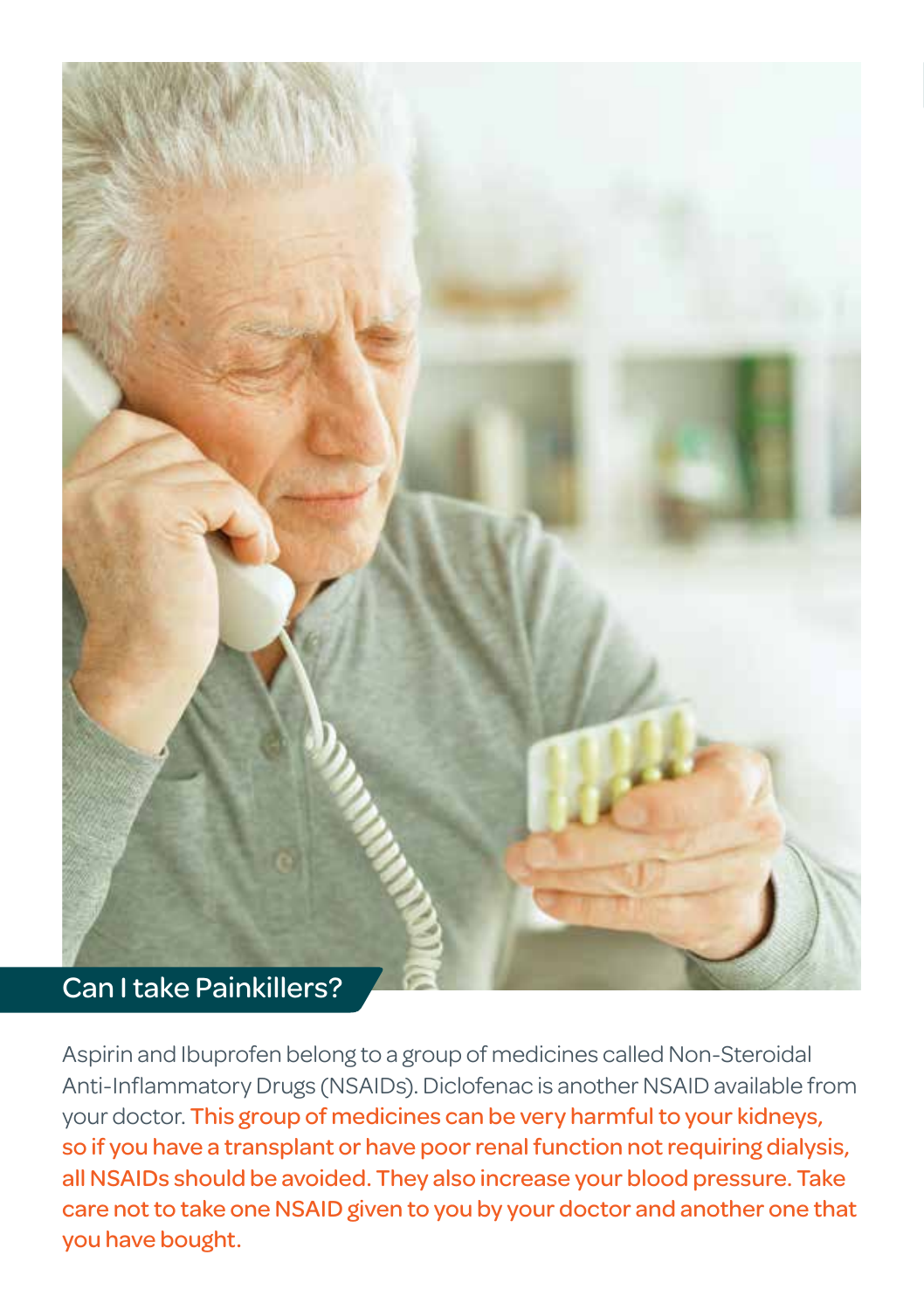

Aspirin and Ibuprofen belong to a group of medicines called Non-Steroidal Anti-Inflammatory Drugs (NSAIDs). Diclofenac is another NSAID available from your doctor. This group of medicines can be very harmful to your kidneys, so if you have a transplant or have poor renal function not requiring dialysis, all NSAIDs should be avoided. They also increase your blood pressure. Take care not to take one NSAID given to you by your doctor and another one that you have bought.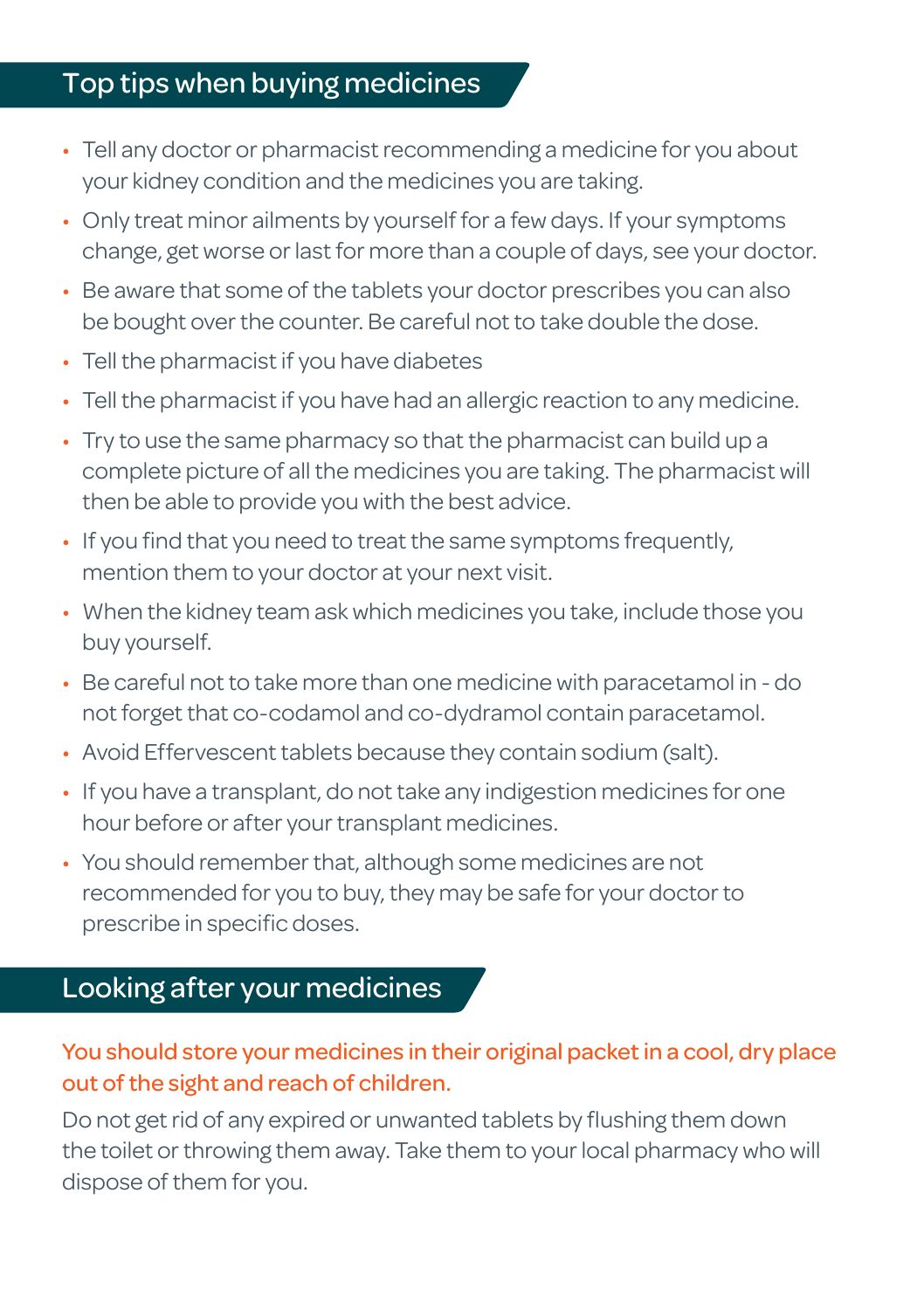#### Top tips when buying medicines

- Tell any doctor or pharmacist recommending a medicine for you about your kidney condition and the medicines you are taking.
- Only treat minor ailments by yourself for a few days. If your symptoms change, get worse or last for more than a couple of days, see your doctor.
- Be aware that some of the tablets your doctor prescribes you can also be bought over the counter. Be careful not to take double the dose.
- Tell the pharmacist if you have diabetes
- Tell the pharmacist if you have had an allergic reaction to any medicine.
- Try to use the same pharmacy so that the pharmacist can build up a complete picture of all the medicines you are taking. The pharmacist will then be able to provide you with the best advice.
- If you find that you need to treat the same symptoms frequently, mention them to your doctor at your next visit.
- When the kidney team ask which medicines you take, include those you buy yourself.
- Be careful not to take more than one medicine with paracetamol in do not forget that co-codamol and co-dydramol contain paracetamol.
- Avoid Effervescent tablets because they contain sodium (salt).
- If you have a transplant, do not take any indigestion medicines for one hour before or after your transplant medicines.
- You should remember that, although some medicines are not recommended for you to buy, they may be safe for your doctor to prescribe in specific doses.

### Looking after your medicines

#### You should store your medicines in their original packet in a cool, dry place out of the sight and reach of children.

Do not get rid of any expired or unwanted tablets by flushing them down the toilet or throwing them away. Take them to your local pharmacy who will dispose of them for you.